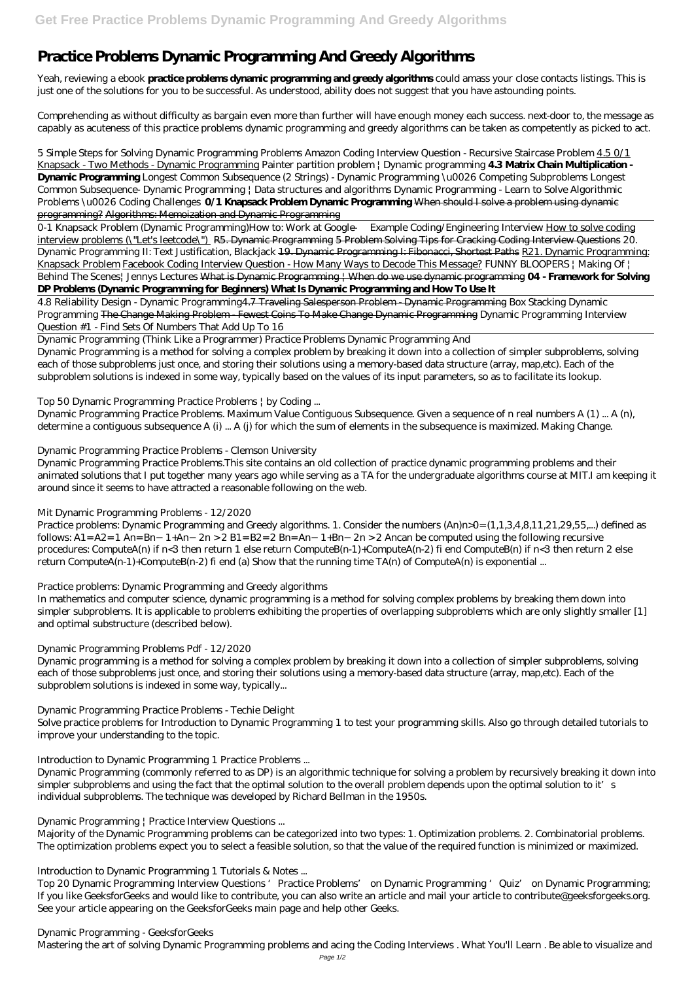# **Practice Problems Dynamic Programming And Greedy Algorithms**

Yeah, reviewing a ebook **practice problems dynamic programming and greedy algorithms** could amass your close contacts listings. This is just one of the solutions for you to be successful. As understood, ability does not suggest that you have astounding points.

Comprehending as without difficulty as bargain even more than further will have enough money each success. next-door to, the message as capably as acuteness of this practice problems dynamic programming and greedy algorithms can be taken as competently as picked to act.

*5 Simple Steps for Solving Dynamic Programming Problems Amazon Coding Interview Question - Recursive Staircase Problem* 4.5 0/1 Knapsack - Two Methods - Dynamic Programming *Painter partition problem | Dynamic programming* **4.3 Matrix Chain Multiplication - Dynamic Programming** Longest Common Subsequence (2 Strings) - Dynamic Programming \u0026 Competing Subproblems Longest Common Subsequence- Dynamic Programming | Data structures and algorithms Dynamic Programming - Learn to Solve Algorithmic Problems \u0026 Coding Challenges **0/1 Knapsack Problem Dynamic Programming** When should I solve a problem using dynamic programming? Algorithms: Memoization and Dynamic Programming

0-1 Knapsack Problem (Dynamic Programming)*How to: Work at Google — Example Coding/Engineering Interview* How to solve coding interview problems (\"Let's leetcode\") R5. Dynamic Programming 5 Problem Solving Tips for Cracking Coding Interview Questions 20. Dynamic Programming II: Text Justification, Blackjack 19. Dynamic Programming I: Fibonacci, Shortest Paths R21. Dynamic Programming: Knapsack Problem Facebook Coding Interview Question - How Many Ways to Decode This Message? *FUNNY BLOOPERS | Making Of | Behind The Scenes| Jennys Lectures* What is Dynamic Programming | When do we use dynamic programming **04 - Framework for Solving DP Problems (Dynamic Programming for Beginners) What Is Dynamic Programming and How To Use It**

Practice problems: Dynamic Programming and Greedy algorithms. 1. Consider the numbers (An)n>0= (1,1,3,4,8,11,21,29,55,...) defined as follows: A1= A2= 1 An= Bn−1+An−2n > 2 B1= B2= 2 Bn= An−1+Bn−2n > 2 Ancan be computed using the following recursive procedures: ComputeA(n) if n<3 then return 1 else return ComputeB(n-1)+ComputeA(n-2) fi end ComputeB(n) if n<3 then return 2 else return ComputeA(n-1)+ComputeB(n-2) fi end (a) Show that the running time TA(n) of ComputeA(n) is exponential ...

4.8 Reliability Design - Dynamic Programming4.7 Traveling Salesperson Problem - Dynamic Programming *Box Stacking Dynamic Programming* The Change Making Problem - Fewest Coins To Make Change Dynamic Programming *Dynamic Programming Interview Question #1 - Find Sets Of Numbers That Add Up To 16*

Dynamic Programming (Think Like a Programmer) Practice Problems Dynamic Programming And Dynamic Programming is a method for solving a complex problem by breaking it down into a collection of simpler subproblems, solving each of those subproblems just once, and storing their solutions using a memory-based data structure (array, map,etc). Each of the subproblem solutions is indexed in some way, typically based on the values of its input parameters, so as to facilitate its lookup.

Top 50 Dynamic Programming Practice Problems | by Coding ...

Dynamic Programming Practice Problems. Maximum Value Contiguous Subsequence. Given a sequence of n real numbers A (1) ... A (n), determine a contiguous subsequence A (i) ... A (j) for which the sum of elements in the subsequence is maximized. Making Change.

Dynamic Programming Practice Problems - Clemson University

Dynamic Programming Practice Problems.This site contains an old collection of practice dynamic programming problems and their animated solutions that I put together many years ago while serving as a TA for the undergraduate algorithms course at MIT.I am keeping it around since it seems to have attracted a reasonable following on the web.

# Mit Dynamic Programming Problems - 12/2020

# Practice problems: Dynamic Programming and Greedy algorithms

In mathematics and computer science, dynamic programming is a method for solving complex problems by breaking them down into simpler subproblems. It is applicable to problems exhibiting the properties of overlapping subproblems which are only slightly smaller [1] and optimal substructure (described below).

# Dynamic Programming Problems Pdf - 12/2020

Dynamic programming is a method for solving a complex problem by breaking it down into a collection of simpler subproblems, solving each of those subproblems just once, and storing their solutions using a memory-based data structure (array, map,etc). Each of the subproblem solutions is indexed in some way, typically...

# Dynamic Programming Practice Problems - Techie Delight

Solve practice problems for Introduction to Dynamic Programming 1 to test your programming skills. Also go through detailed tutorials to improve your understanding to the topic.

Introduction to Dynamic Programming 1 Practice Problems ...

Dynamic Programming (commonly referred to as DP) is an algorithmic technique for solving a problem by recursively breaking it down into simpler subproblems and using the fact that the optimal solution to the overall problem depends upon the optimal solution to it's individual subproblems. The technique was developed by Richard Bellman in the 1950s.

Dynamic Programming | Practice Interview Questions ...

Majority of the Dynamic Programming problems can be categorized into two types: 1. Optimization problems. 2. Combinatorial problems. The optimization problems expect you to select a feasible solution, so that the value of the required function is minimized or maximized.

Introduction to Dynamic Programming 1 Tutorials & Notes ...

Top 20 Dynamic Programming Interview Questions 'Practice Problems' on Dynamic Programming 'Quiz' on Dynamic Programming; If you like GeeksforGeeks and would like to contribute, you can also write an article and mail your article to contribute@geeksforgeeks.org. See your article appearing on the GeeksforGeeks main page and help other Geeks.

Dynamic Programming - GeeksforGeeks

Mastering the art of solving Dynamic Programming problems and acing the Coding Interviews . What You'll Learn . Be able to visualize and